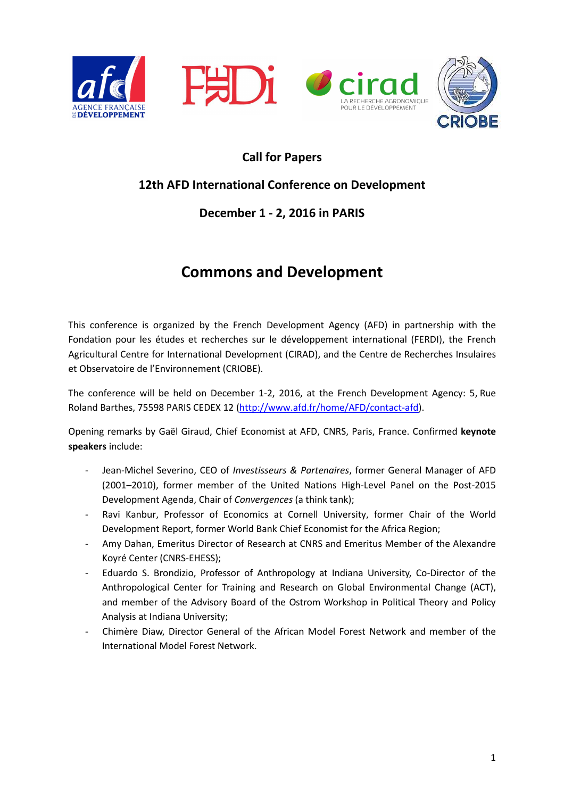







# **Call for Papers**

# **12th AFD International Conference on Development**

# **December 1 - 2, 2016 in PARIS**

# **Commons and Development**

This conference is organized by the French Development Agency (AFD) in partnership with the Fondation pour les études et recherches sur le développement international (FERDI), the French Agricultural Centre for International Development (CIRAD), and the Centre de Recherches Insulaires et Observatoire de l'Environnement (CRIOBE).

The conference will be held on December 1-2, 2016, at the French Development Agency: 5, Rue Roland Barthes, 75598 PARIS CEDEX 12 (http://www.afd.fr/home/AFD/contact-afd).

Opening remarks by Gaël Giraud, Chief Economist at AFD, CNRS, Paris, France. Confirmed **keynote speakers** include:

- Jean-Michel Severino, CEO of *Investisseurs & Partenaires*, former General Manager of AFD (2001–2010), former member of the United Nations High-Level Panel on the Post-2015 Development Agenda, Chair of *Convergences* (a think tank);
- Ravi Kanbur, Professor of Economics at Cornell University, former Chair of the World Development Report, former World Bank Chief Economist for the Africa Region;
- Amy Dahan, Emeritus Director of Research at CNRS and Emeritus Member of the Alexandre Koyré Center (CNRS-EHESS);
- Eduardo S. Brondizio, Professor of Anthropology at Indiana University, Co-Director of the Anthropological Center for Training and Research on Global Environmental Change (ACT), and member of the Advisory Board of the Ostrom Workshop in Political Theory and Policy Analysis at Indiana University;
- Chimère Diaw, Director General of the African Model Forest Network and member of the International Model Forest Network.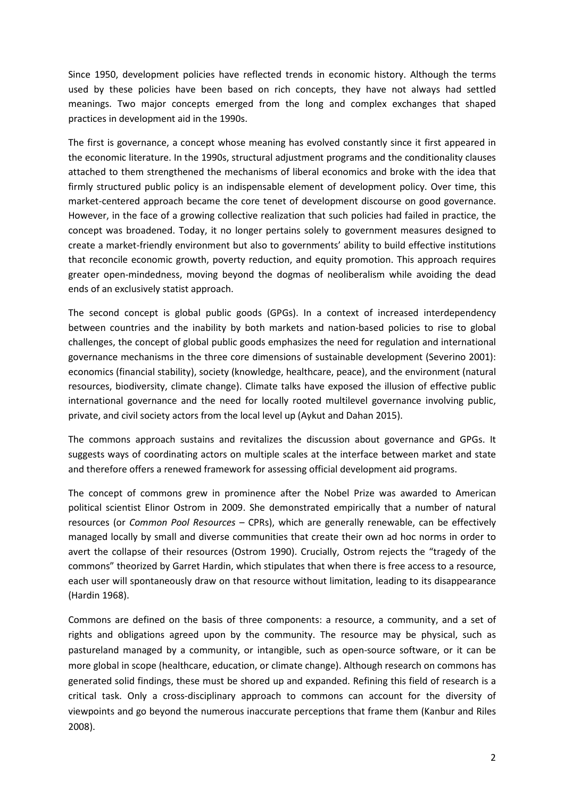Since 1950, development policies have reflected trends in economic history. Although the terms used by these policies have been based on rich concepts, they have not always had settled meanings. Two major concepts emerged from the long and complex exchanges that shaped practices in development aid in the 1990s.

The first is governance, a concept whose meaning has evolved constantly since it first appeared in the economic literature. In the 1990s, structural adjustment programs and the conditionality clauses attached to them strengthened the mechanisms of liberal economics and broke with the idea that firmly structured public policy is an indispensable element of development policy. Over time, this market-centered approach became the core tenet of development discourse on good governance. However, in the face of a growing collective realization that such policies had failed in practice, the concept was broadened. Today, it no longer pertains solely to government measures designed to create a market-friendly environment but also to governments' ability to build effective institutions that reconcile economic growth, poverty reduction, and equity promotion. This approach requires greater open-mindedness, moving beyond the dogmas of neoliberalism while avoiding the dead ends of an exclusively statist approach.

The second concept is global public goods (GPGs). In a context of increased interdependency between countries and the inability by both markets and nation-based policies to rise to global challenges, the concept of global public goods emphasizes the need for regulation and international governance mechanisms in the three core dimensions of sustainable development (Severino 2001): economics (financial stability), society (knowledge, healthcare, peace), and the environment (natural resources, biodiversity, climate change). Climate talks have exposed the illusion of effective public international governance and the need for locally rooted multilevel governance involving public, private, and civil society actors from the local level up (Aykut and Dahan 2015).

The commons approach sustains and revitalizes the discussion about governance and GPGs. It suggests ways of coordinating actors on multiple scales at the interface between market and state and therefore offers a renewed framework for assessing official development aid programs.

The concept of commons grew in prominence after the Nobel Prize was awarded to American political scientist Elinor Ostrom in 2009. She demonstrated empirically that a number of natural resources (or *Common Pool Resources* – CPRs), which are generally renewable, can be effectively managed locally by small and diverse communities that create their own ad hoc norms in order to avert the collapse of their resources (Ostrom 1990). Crucially, Ostrom rejects the "tragedy of the commons" theorized by Garret Hardin, which stipulates that when there is free access to a resource, each user will spontaneously draw on that resource without limitation, leading to its disappearance (Hardin 1968).

Commons are defined on the basis of three components: a resource, a community, and a set of rights and obligations agreed upon by the community. The resource may be physical, such as pastureland managed by a community, or intangible, such as open-source software, or it can be more global in scope (healthcare, education, or climate change). Although research on commons has generated solid findings, these must be shored up and expanded. Refining this field of research is a critical task. Only a cross-disciplinary approach to commons can account for the diversity of viewpoints and go beyond the numerous inaccurate perceptions that frame them (Kanbur and Riles 2008).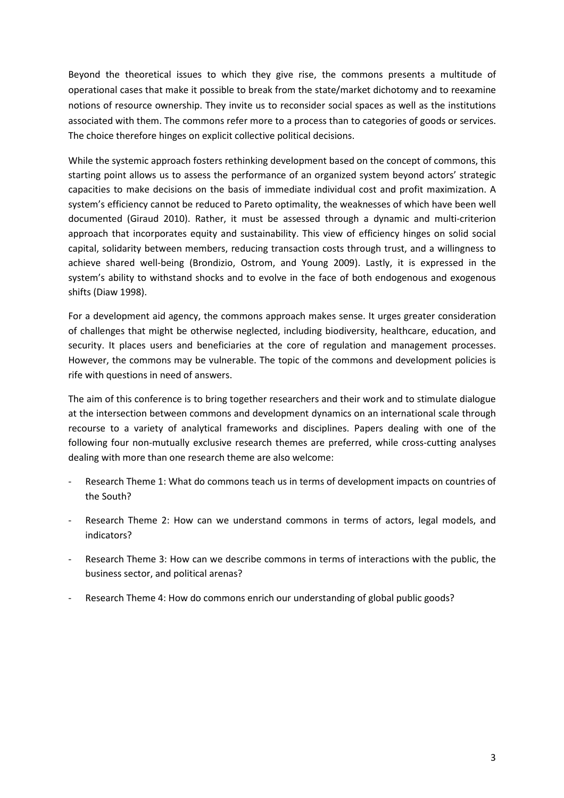Beyond the theoretical issues to which they give rise, the commons presents a multitude of operational cases that make it possible to break from the state/market dichotomy and to reexamine notions of resource ownership. They invite us to reconsider social spaces as well as the institutions associated with them. The commons refer more to a process than to categories of goods or services. The choice therefore hinges on explicit collective political decisions.

While the systemic approach fosters rethinking development based on the concept of commons, this starting point allows us to assess the performance of an organized system beyond actors' strategic capacities to make decisions on the basis of immediate individual cost and profit maximization. A system's efficiency cannot be reduced to Pareto optimality, the weaknesses of which have been well documented (Giraud 2010). Rather, it must be assessed through a dynamic and multi-criterion approach that incorporates equity and sustainability. This view of efficiency hinges on solid social capital, solidarity between members, reducing transaction costs through trust, and a willingness to achieve shared well-being (Brondizio, Ostrom, and Young 2009). Lastly, it is expressed in the system's ability to withstand shocks and to evolve in the face of both endogenous and exogenous shifts (Diaw 1998).

For a development aid agency, the commons approach makes sense. It urges greater consideration of challenges that might be otherwise neglected, including biodiversity, healthcare, education, and security. It places users and beneficiaries at the core of regulation and management processes. However, the commons may be vulnerable. The topic of the commons and development policies is rife with questions in need of answers.

The aim of this conference is to bring together researchers and their work and to stimulate dialogue at the intersection between commons and development dynamics on an international scale through recourse to a variety of analytical frameworks and disciplines. Papers dealing with one of the following four non-mutually exclusive research themes are preferred, while cross-cutting analyses dealing with more than one research theme are also welcome:

- Research Theme 1: What do commons teach us in terms of development impacts on countries of the South?
- Research Theme 2: How can we understand commons in terms of actors, legal models, and indicators?
- Research Theme 3: How can we describe commons in terms of interactions with the public, the business sector, and political arenas?
- Research Theme 4: How do commons enrich our understanding of global public goods?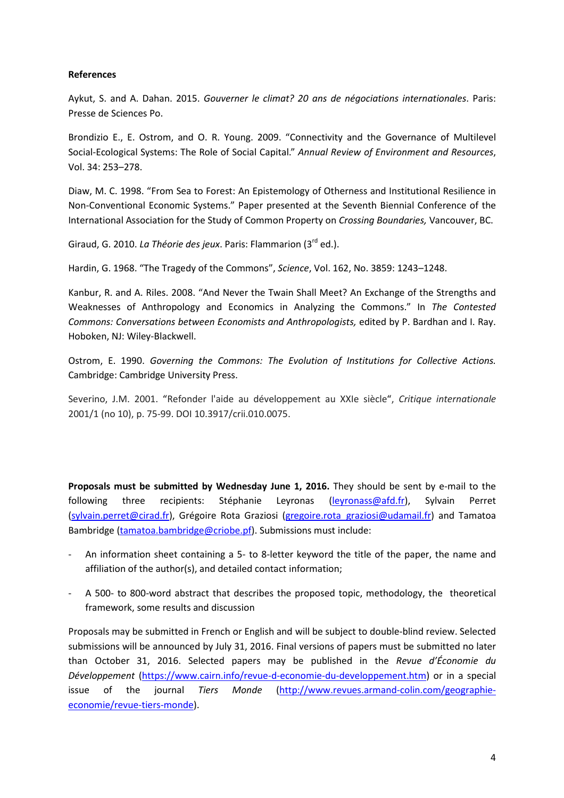#### **References**

Aykut, S. and A. Dahan. 2015. *Gouverner le climat? 20 ans de négociations internationales*. Paris: Presse de Sciences Po.

Brondizio E., E. Ostrom, and O. R. Young. 2009. "Connectivity and the Governance of Multilevel Social-Ecological Systems: The Role of Social Capital." *Annual Review of Environment and Resources*, Vol. 34: 253–278.

Diaw, M. C. 1998. "From Sea to Forest: An Epistemology of Otherness and Institutional Resilience in Non-Conventional Economic Systems." Paper presented at the Seventh Biennial Conference of the International Association for the Study of Common Property on *Crossing Boundaries,* Vancouver, BC.

Giraud, G. 2010. *La Théorie des jeux*. Paris: Flammarion (3rd ed.).

Hardin, G. 1968. "The Tragedy of the Commons", *Science*, Vol. 162, No. 3859: 1243–1248.

Kanbur, R. and A. Riles. 2008. "And Never the Twain Shall Meet? An Exchange of the Strengths and Weaknesses of Anthropology and Economics in Analyzing the Commons." In *The Contested Commons: Conversations between Economists and Anthropologists,* edited by P. Bardhan and I. Ray. Hoboken, NJ: Wiley-Blackwell.

Ostrom, E. 1990. *Governing the Commons: The Evolution of Institutions for Collective Actions.*  Cambridge: Cambridge University Press.

Severino, J.M. 2001. "Refonder l'aide au développement au XXIe siècle", *Critique internationale*  2001/1 (no 10), p. 75-99. DOI 10.3917/crii.010.0075.

**Proposals must be submitted by Wednesday June 1, 2016.** They should be sent by e-mail to the following three recipients: Stéphanie Leyronas (leyronass@afd.fr), Sylvain Perret (sylvain.perret@cirad.fr), Grégoire Rota Graziosi (gregoire.rota graziosi@udamail.fr) and Tamatoa Bambridge (tamatoa.bambridge@criobe.pf). Submissions must include:

- An information sheet containing a 5- to 8-letter keyword the title of the paper, the name and affiliation of the author(s), and detailed contact information;
- A 500- to 800-word abstract that describes the proposed topic, methodology, the theoretical framework, some results and discussion

Proposals may be submitted in French or English and will be subject to double-blind review. Selected submissions will be announced by July 31, 2016. Final versions of papers must be submitted no later than October 31, 2016. Selected papers may be published in the *Revue d'Économie du Développement* (https://www.cairn.info/revue-d-economie-du-developpement.htm) or in a special issue of the journal *Tiers Monde* (http://www.revues.armand-colin.com/geographieeconomie/revue-tiers-monde).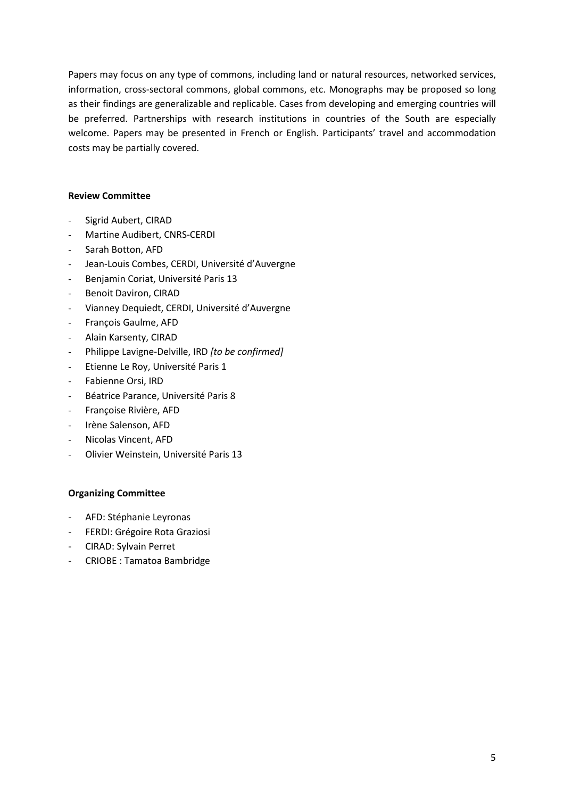Papers may focus on any type of commons, including land or natural resources, networked services, information, cross-sectoral commons, global commons, etc. Monographs may be proposed so long as their findings are generalizable and replicable. Cases from developing and emerging countries will be preferred. Partnerships with research institutions in countries of the South are especially welcome. Papers may be presented in French or English. Participants' travel and accommodation costs may be partially covered.

#### **Review Committee**

- Sigrid Aubert, CIRAD
- Martine Audibert, CNRS-CERDI
- Sarah Botton, AFD
- Jean-Louis Combes, CERDI, Université d'Auvergne
- Benjamin Coriat, Université Paris 13
- Benoit Daviron, CIRAD
- Vianney Dequiedt, CERDI, Université d'Auvergne
- François Gaulme, AFD
- Alain Karsenty, CIRAD
- Philippe Lavigne-Delville, IRD *[to be confirmed]*
- Etienne Le Roy, Université Paris 1
- Fabienne Orsi, IRD
- Béatrice Parance, Université Paris 8
- Françoise Rivière, AFD
- Irène Salenson, AFD
- Nicolas Vincent, AFD
- Olivier Weinstein, Université Paris 13

#### **Organizing Committee**

- AFD: Stéphanie Leyronas
- FERDI: Grégoire Rota Graziosi
- CIRAD: Sylvain Perret
- CRIOBE : Tamatoa Bambridge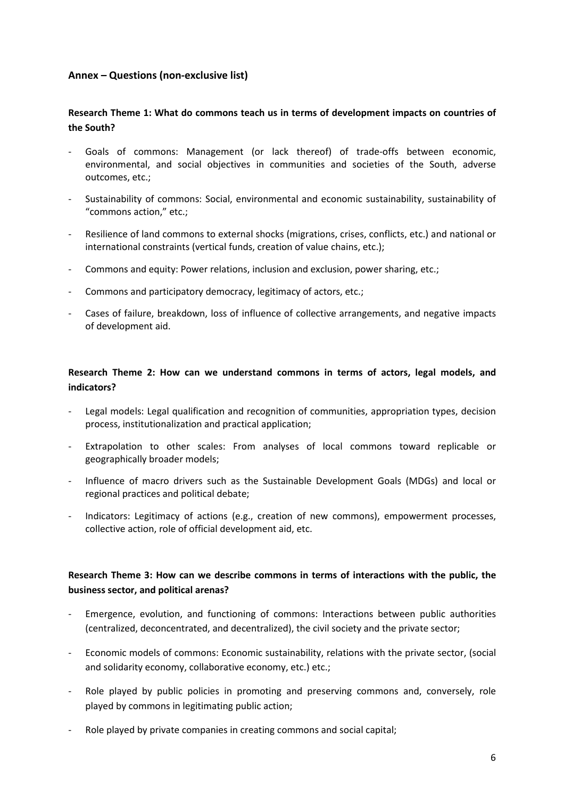### **Annex – Questions (non-exclusive list)**

## **Research Theme 1: What do commons teach us in terms of development impacts on countries of the South?**

- Goals of commons: Management (or lack thereof) of trade-offs between economic, environmental, and social objectives in communities and societies of the South, adverse outcomes, etc.;
- Sustainability of commons: Social, environmental and economic sustainability, sustainability of "commons action," etc.;
- Resilience of land commons to external shocks (migrations, crises, conflicts, etc.) and national or international constraints (vertical funds, creation of value chains, etc.);
- Commons and equity: Power relations, inclusion and exclusion, power sharing, etc.;
- Commons and participatory democracy, legitimacy of actors, etc.;
- Cases of failure, breakdown, loss of influence of collective arrangements, and negative impacts of development aid.

## **Research Theme 2: How can we understand commons in terms of actors, legal models, and indicators?**

- Legal models: Legal qualification and recognition of communities, appropriation types, decision process, institutionalization and practical application;
- Extrapolation to other scales: From analyses of local commons toward replicable or geographically broader models;
- Influence of macro drivers such as the Sustainable Development Goals (MDGs) and local or regional practices and political debate;
- Indicators: Legitimacy of actions (e.g., creation of new commons), empowerment processes, collective action, role of official development aid, etc.

## **Research Theme 3: How can we describe commons in terms of interactions with the public, the business sector, and political arenas?**

- Emergence, evolution, and functioning of commons: Interactions between public authorities (centralized, deconcentrated, and decentralized), the civil society and the private sector;
- Economic models of commons: Economic sustainability, relations with the private sector, (social and solidarity economy, collaborative economy, etc.) etc.;
- Role played by public policies in promoting and preserving commons and, conversely, role played by commons in legitimating public action;
- Role played by private companies in creating commons and social capital;